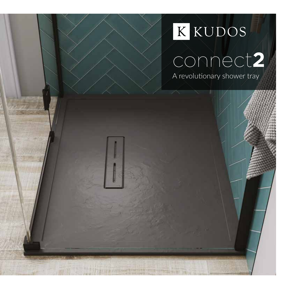# K KUDOS

connect2 A revolutionary shower tray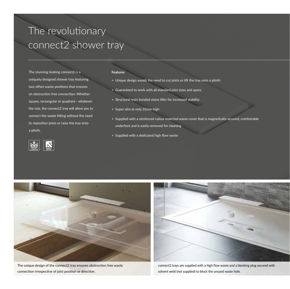## The revolutionary connect2 shower tray

The stunning looking connect2 is a uniquely designed shower tray featuring two offset waste positions that ensures an obstruction free connection. Whether square, rectangular or quadrant - whatever the size, the connect2 tray will allow you to connect the waste fitting without the need to reposition joists or raise the tray onto a plinth.



#### **Features**

- + Unique design avoids the need to cut joists or lift the tray onto a plinth
- + Guaranteed to work with all standard joist sizes and spans
- + Structural resin bonded stone filler for increased stability
- + Super slim at only 35mm high
- + Supplied with a reinforced colour matched waste cover that is magnetically secured, comfortable underfoot and is easily removed for cleaning
- + Supplied with a dedicated high flow waste



The unique design of the connect2 tray ensures obstruction free waste connection irrespective of joist position or direction.



connect2 trays are supplied with a high flow waste and a blanking plug secured with solvent weld (not supplied) to block the unused waste hole.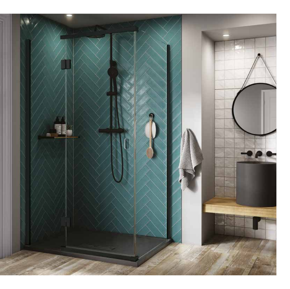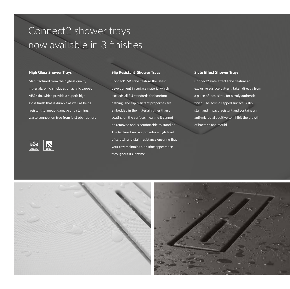### Connect2 shower trays now available in 3 finishes

#### High Gloss Shower Trays

Manufactured from the highest quality materials, which includes an acrylic capped ABS skin, which provide a superb high gloss finish that is durable as well as being resistant to impact damage and staining. waste connection free from joist obstruction.



#### Slip Resistant Shower Trays

Connect2 SR Trays feature the latest development in surface material which exceeds all EU standards for barefoot bathing. The slip resistant properties are embedded in the material, rather than a coating on the surface, meaning it cannot be removed and is comfortable to stand on. The textured surface provides a high level of scratch and stain resistance ensuring that your tray maintains a pristine appearance throughout its lifetime.

#### Slate Effect Shower Trays

Connect2 slate effect trays feature an exclusive surface pattern, taken directly from a piece of local slate, for a truly authentic finish. The acrylic capped surface is slip, stain and impact resistant and contains an anti-microbial additive to inhibit the growth of bacteria and mould.

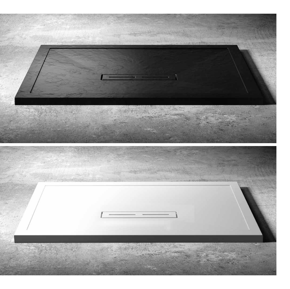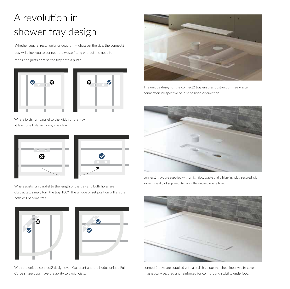## A revolution in shower tray design

Whether square, rectangular or quadrant - whatever the size, the connect2 tray will allow you to connect the waste fitting without the need to

reposition joists or raise the tray onto a plinth.





Where joists run parallel to the width of the tray, at least one hole will always be clear.





Where joists run parallel to the length of the tray and both holes are obstructed, simply turn the tray 180°. The unique offset position will ensure both will become free.





With the unique connect2 design even Quadrant and the Kudos unique Full Curve shape trays have the ability to avoid joists.



The unique design of the connect2 tray ensures obstruction free waste connection irrespective of joist position or direction.



connect2 trays are supplied with a high flow waste and a blanking plug secured with solvent weld (not supplied) to block the unused waste hole.



connect2 trays are supplied with a stylish colour matched linear waste cover, magnetically secured and reinforced for comfort and stability underfoot.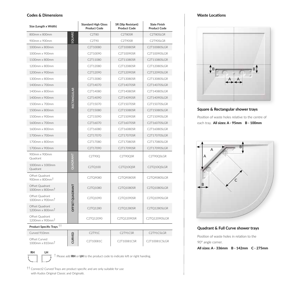#### **Codes & Dimensions**

| Size (Length x Width)                          |                        | <b>Standard High Gloss</b><br><b>Product Code</b> | SR (Slip Resistant)<br><b>Product Code</b> | <b>Slate Finish</b><br><b>Product Code</b> |
|------------------------------------------------|------------------------|---------------------------------------------------|--------------------------------------------|--------------------------------------------|
| 800mm x 800mm                                  |                        | C2T80                                             | C2T80SR                                    | C2T80SLGR                                  |
| 900mm x 900mm                                  | SQUARE                 | C <sub>2</sub> T <sub>90</sub>                    | C2T90SR                                    | C2T90SLGR                                  |
| 1000mm x 800mm                                 | <b>RECTANGULAR</b>     | C2T10080                                          | C2T10080SR                                 | C2T10080SLGR                               |
| 1000mm x 900mm                                 |                        | C2T10090                                          | C2T10090SR                                 | C2T10090SLGR                               |
| 1100mm x 800mm                                 |                        | C2T11080                                          | C2T11080SR                                 | C2T11080SLGR                               |
| 1200mm x 800mm                                 |                        | C2T12080                                          | C2T12080SR                                 | C2T12080SLGR                               |
| 1200mm x 900mm                                 |                        | C2T12090                                          | C2T12090SR                                 | C2T12090SLGR                               |
| 1300mm x 800mm                                 |                        | C2T13080                                          | C2T13080SR                                 | C2T13080SLGR                               |
| 1400mm x 700mm                                 |                        | C2T14070                                          | C2T14070SR                                 | C2T14070SLGR                               |
| 1400mm x 800mm                                 |                        | C2T14080                                          | C2T14080SR                                 | C2T14080SLGR                               |
| 1400mm x 900mm                                 |                        | C2T14090                                          | C2T14090SR                                 | C2T14090SLGR                               |
| 1500mm x 700mm                                 |                        | C2T15070                                          | C2T15070SR                                 | C2T15070SLGR                               |
| 1500mm x 800mm                                 |                        | C2T15080                                          | C2T15080SR                                 | C2T15080SLGR                               |
| 1500mm x 900mm                                 |                        | C2T15090                                          | C2T15090SR                                 | C2T15090SLGR                               |
| 1600mm x 700mm                                 |                        | C2T16070                                          | C2T16070SR                                 | C2T16070SLGR                               |
| 1600mm x 800mm                                 |                        | C2T16080                                          | C2T16080SR                                 | C2T16080SLGR                               |
| 1700mm x 700mm                                 |                        | C2T17070                                          | C2T17070SR                                 | C2T17070SLGR                               |
| 1700mm x 800mm                                 |                        | C2T17080                                          | C2T17080SR                                 | C2T17080SLGR                               |
| 1700mm x 900mm                                 |                        | C2T17090                                          | C2T17090SR                                 | C2T17090SLGR                               |
| 900mm x 900mm<br>Quadrant                      | QUADRANT               | C2T90Q                                            | C2T90QSR                                   | C2T90QSLGR                                 |
| 1000mm x 1000mm<br>Quadrant                    |                        | C2TQ100                                           | C2TQ10QSR                                  | C2TQ10QSLGR                                |
| Offset Quadrant<br>900mm x 800mm <sup>T</sup>  | <b>DFFSET QUADRANT</b> | C2TQ9080                                          | C2TQ9080SR                                 | C2TQ9080SLGR                               |
| Offset Quadrant<br>$1000$ mm x 800mm $T$       |                        | C2TQ1080                                          | C2TQ1080SR                                 | C2TQ1080SLGR                               |
| Offset Quadrant<br>$1000$ mm x 900mm $T$       |                        | C2TQ1090                                          | C2TQ1090SR                                 | C2TQ1090SLGR                               |
| Offset Quadrant<br>1200mm x 800mm <sup>+</sup> |                        | C2TQ1280                                          | C2TQ1280SR                                 | C2TQ1280SLGR                               |
| Offset Quadrant<br>1200mm x 900mm <sup>T</sup> |                        | C2TQ12090                                         | C2TQ12090SR                                | C2TQ12090SLGR                              |
| Product Specific Trays $^{\dagger\dagger}$     |                        |                                                   |                                            |                                            |
| Curved 910mm                                   | CURVED                 | C2T91C                                            | C2T91CSR                                   | C2T91CSLGR                                 |
| Offset Curved<br>$1000$ mm x 810mm $†$         |                        | C2T10081C                                         | C2T10081CSR                                | C2T10081CSLGR                              |

**Waste Locations**



#### **Square & Rectangular shower trays**

Position of waste holes relative to the centre of each tray. **All sizes: A - 95mm B - 100mm** 



#### **Quadrant & Full Curve shower trays**

Position of waste holes in relation to the 90° angle corner.

**All sizes: A - 336mm B - 142mm C - 275mm**



† Please add **RH** or **LH** to the product code to indicate left or right handing.

†† Connect2 Curved Trays are product specific and are only suitable for use with Kudos Original Classic and Original6.